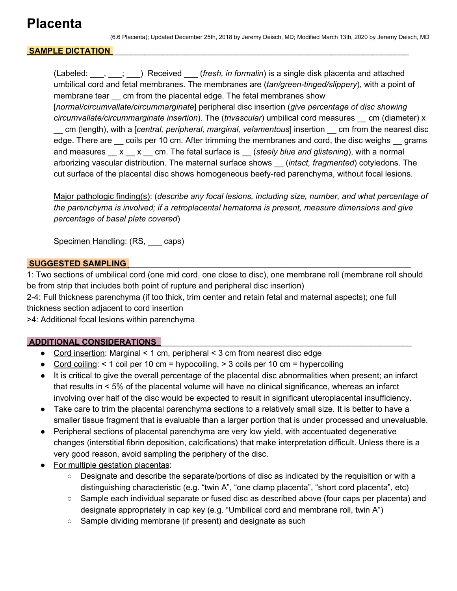## **Placenta**

## SAMPLE DICTATION

(Labeled: \_\_\_, \_\_\_; \_\_\_) Received \_\_\_ (*fresh, in formalin*) is a single disk placenta and attached umbilical cord and fetal membranes. The membranes are (*tan/green-tinged/slippery*), with a point of membrane tear cm from the placental edge. The fetal membranes show [*normal/circumvallate/circummarginate*] peripheral disc insertion (*give percentage of disc showing circumvallate/circummarginate insertion*). The (*trivascular*) umbilical cord measures \_\_ cm (diameter) x \_\_ cm (length), with a [*central, peripheral, marginal, velamentous*] insertion \_\_ cm from the nearest disc edge. There are coils per 10 cm. After trimming the membranes and cord, the disc weighs grams and measures \_\_ x \_\_ x \_\_ cm. The fetal surface is \_\_ (*steely blue and glistening*), with a normal arborizing vascular distribution. The maternal surface shows \_\_ (*intact, fragmented*) cotyledons. The cut surface of the placental disc shows homogeneous beefy-red parenchyma, without focal lesions.

Major pathologic finding(s): (*describe any focal lesions, including size, number, and what percentage of the parenchyma is involved; if a retroplacental hematoma is present, measure dimensions and give percentage of basal plate covered*)

Specimen Handling: (RS, caps)

#### **SUGGESTED SAMPLING** \_\_\_\_\_\_\_\_\_\_\_\_\_\_\_\_\_\_\_\_\_\_\_\_\_\_\_\_\_\_\_\_\_\_\_\_\_\_\_\_\_\_\_\_\_\_\_\_\_\_\_\_\_\_\_\_\_\_\_\_\_\_

1: Two sections of umbilical cord (one mid cord, one close to disc), one membrane roll (membrane roll should be from strip that includes both point of rupture and peripheral disc insertion)

2-4: Full thickness parenchyma (if too thick, trim center and retain fetal and maternal aspects); one full thickness section adjacent to cord insertion

>4: Additional focal lesions within parenchyma

## **ADDITIONAL CONSIDERATIONS** \_\_\_\_\_\_\_\_\_\_\_\_\_\_\_\_\_\_\_\_\_\_\_\_\_\_\_\_\_\_\_\_\_\_\_\_\_\_\_\_\_\_\_\_\_\_\_\_\_\_\_\_\_\_\_

- Cord insertion: Marginal < 1 cm, peripheral < 3 cm from nearest disc edge
- Cord coiling:  $\leq 1$  coil per 10 cm = hypocoiling,  $\geq 3$  coils per 10 cm = hypercoiling
- It is critical to give the overall percentage of the placental disc abnormalities when present; an infarct that results in < 5% of the placental volume will have no clinical significance, whereas an infarct involving over half of the disc would be expected to result in significant uteroplacental insufficiency.
- Take care to trim the placental parenchyma sections to a relatively small size. It is better to have a smaller tissue fragment that is evaluable than a larger portion that is under processed and unevaluable.
- Peripheral sections of placental parenchyma are very low yield, with accentuated degenerative changes (interstitial fibrin deposition, calcifications) that make interpretation difficult. Unless there is a very good reason, avoid sampling the periphery of the disc.
- For multiple gestation placentas:
	- Designate and describe the separate/portions of disc as indicated by the requisition or with a distinguishing characteristic (e.g. "twin A", "one clamp placenta", "short cord placenta", etc)
	- Sample each individual separate or fused disc as described above (four caps per placenta) and designate appropriately in cap key (e.g. "Umbilical cord and membrane roll, twin A")
	- Sample dividing membrane (if present) and designate as such